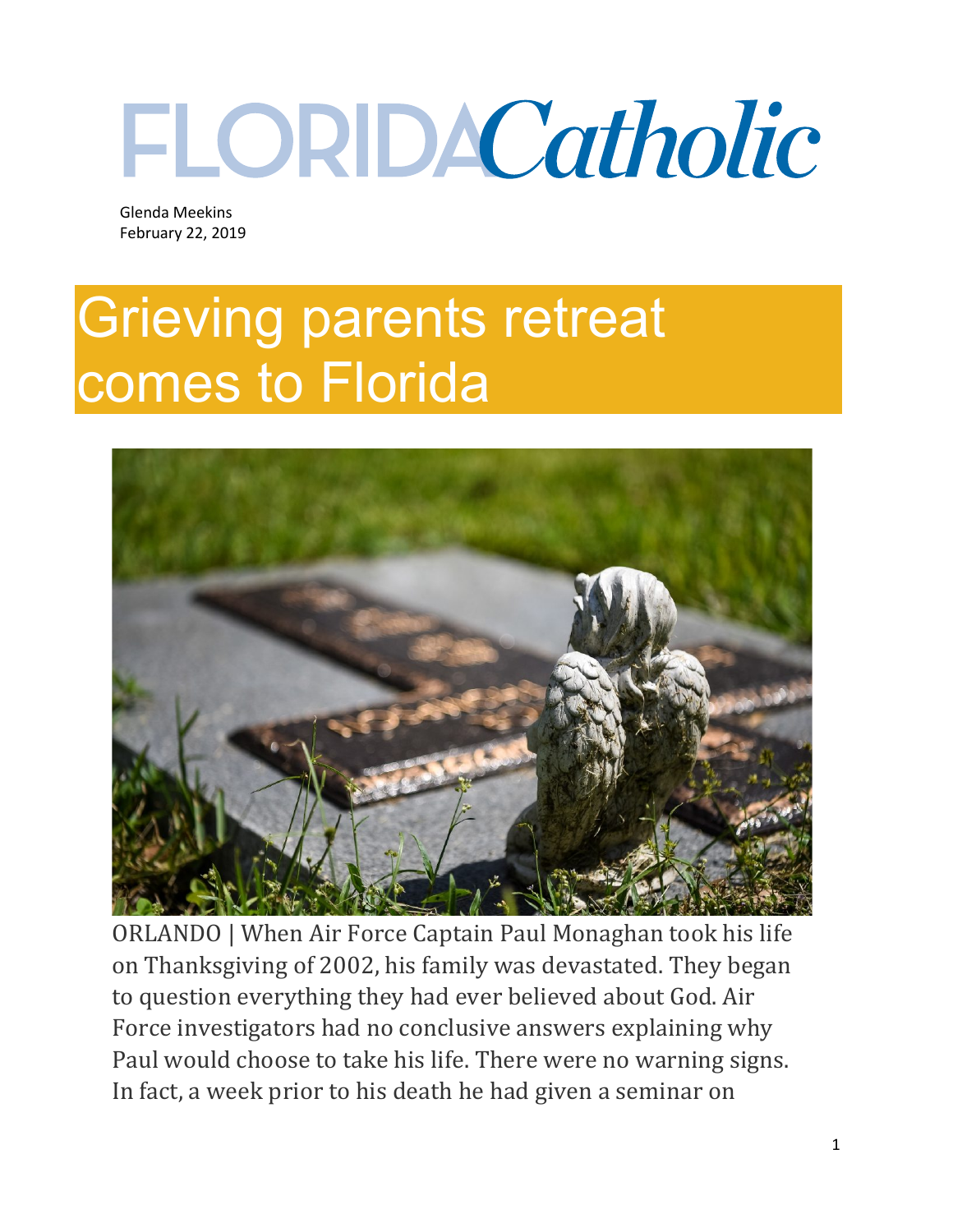## FLORDACatholic

 Glenda Meekins February 22, 2019

## Grieving parents retreat comes to Florida



ORLANDO | When Air Force Captain Paul Monaghan took his life on Thanksgiving of 2002, his family was devastated. They began to question everything they had ever believed about God. Air Force investigators had no conclusive answers explaining why Paul would choose to take his life. There were no warning signs. In fact, a week prior to his death he had given a seminar on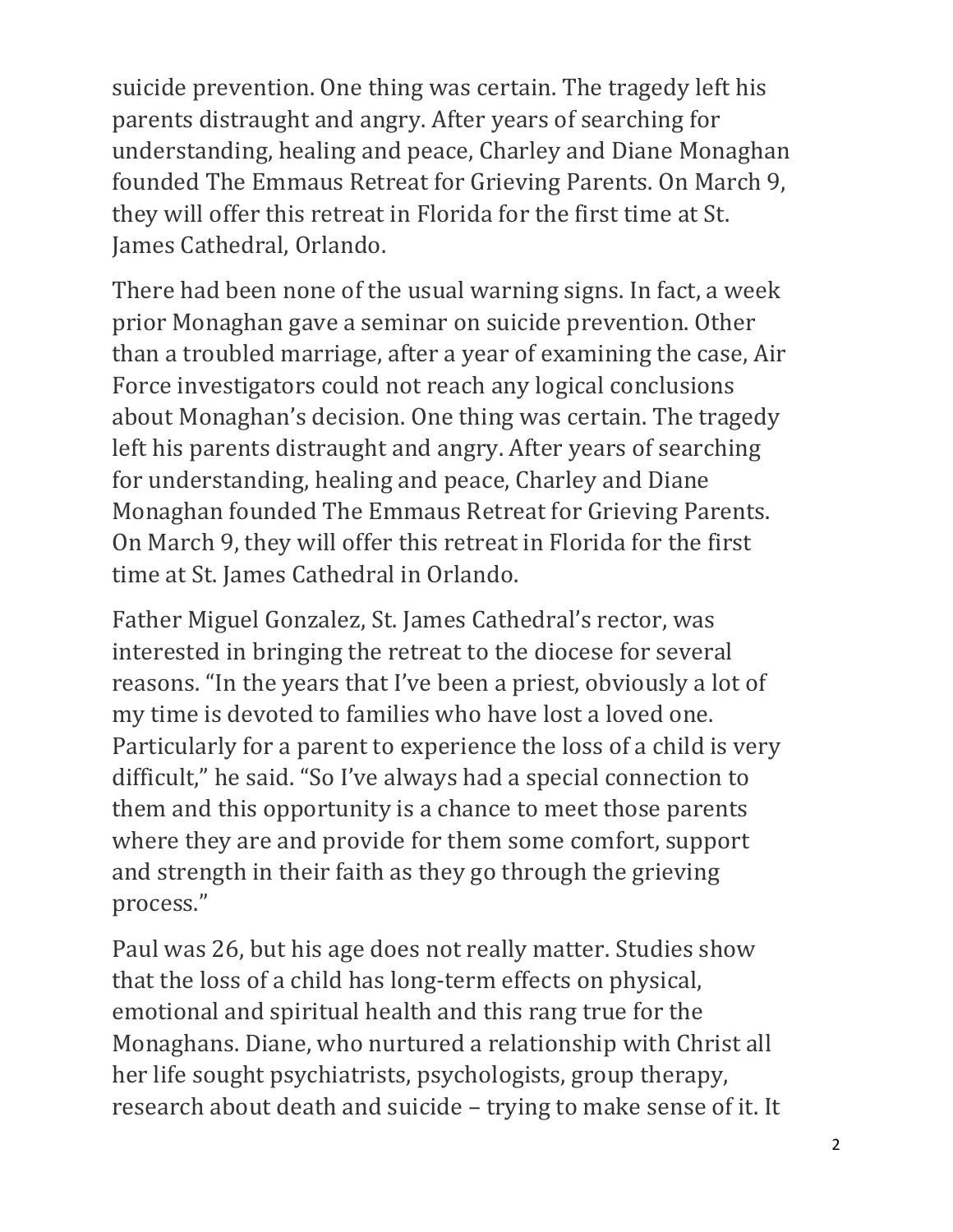suicide prevention. One thing was certain. The tragedy left his parents distraught and angry. After years of searching for understanding, healing and peace, Charley and Diane Monaghan founded The Emmaus Retreat for Grieving Parents. On March 9, they will offer this retreat in Florida for the first time at St. James Cathedral, Orlando.

There had been none of the usual warning signs. In fact, a week prior Monaghan gave a seminar on suicide prevention. Other than a troubled marriage, after a year of examining the case, Air Force investigators could not reach any logical conclusions about Monaghan's decision. One thing was certain. The tragedy left his parents distraught and angry. After years of searching for understanding, healing and peace, Charley and Diane Monaghan founded The Emmaus Retreat for Grieving Parents. On March 9, they will offer this retreat in Florida for the first time at St. James Cathedral in Orlando.

Father Miguel Gonzalez, St. James Cathedral's rector, was interested in bringing the retreat to the diocese for several reasons. "In the years that I've been a priest, obviously a lot of my time is devoted to families who have lost a loved one. Particularly for a parent to experience the loss of a child is very difficult," he said. "So I've always had a special connection to them and this opportunity is a chance to meet those parents where they are and provide for them some comfort, support and strength in their faith as they go through the grieving process."

Paul was 26, but his age does not really matter. Studies show that the loss of a child has long-term effects on physical, emotional and spiritual health and this rang true for the Monaghans. Diane, who nurtured a relationship with Christ all her life sought psychiatrists, psychologists, group therapy, research about death and suicide – trying to make sense of it. It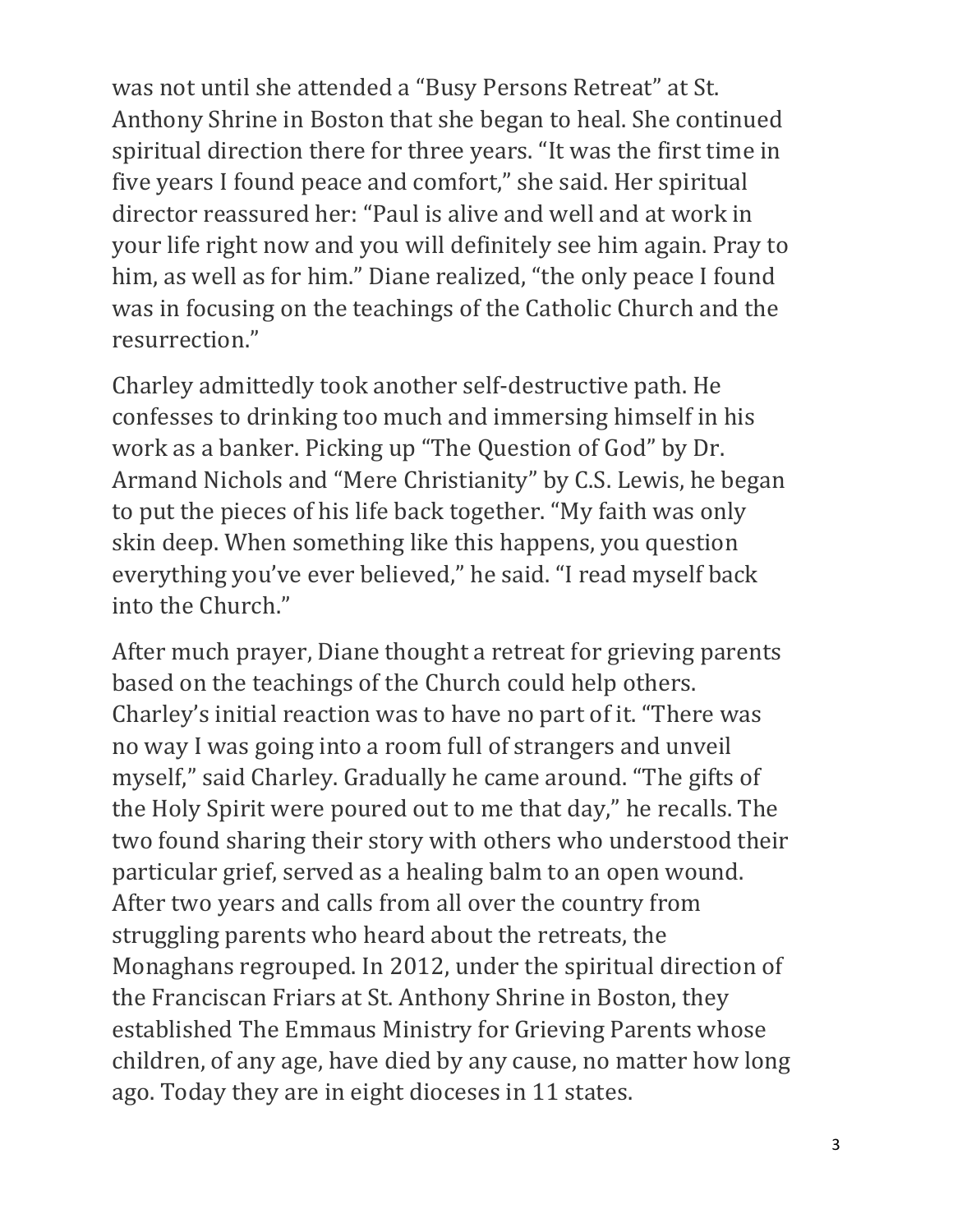was not until she attended a "Busy Persons Retreat" at St. Anthony Shrine in Boston that she began to heal. She continued spiritual direction there for three years. "It was the first time in five years I found peace and comfort," she said. Her spiritual director reassured her: "Paul is alive and well and at work in your life right now and you will definitely see him again. Pray to him, as well as for him." Diane realized, "the only peace I found was in focusing on the teachings of the Catholic Church and the resurrection."

Charley admittedly took another self-destructive path. He confesses to drinking too much and immersing himself in his work as a banker. Picking up "The Question of God" by Dr. Armand Nichols and "Mere Christianity" by C.S. Lewis, he began to put the pieces of his life back together. "My faith was only skin deep. When something like this happens, you question everything you've ever believed," he said. "I read myself back into the Church."

After much prayer, Diane thought a retreat for grieving parents based on the teachings of the Church could help others. Charley's initial reaction was to have no part of it. "There was no way I was going into a room full of strangers and unveil myself," said Charley. Gradually he came around. "The gifts of the Holy Spirit were poured out to me that day," he recalls. The two found sharing their story with others who understood their particular grief, served as a healing balm to an open wound. After two years and calls from all over the country from struggling parents who heard about the retreats, the Monaghans regrouped. In 2012, under the spiritual direction of the Franciscan Friars at St. Anthony Shrine in Boston, they established The Emmaus Ministry for Grieving Parents whose children, of any age, have died by any cause, no matter how long ago. Today they are in eight dioceses in 11 states.